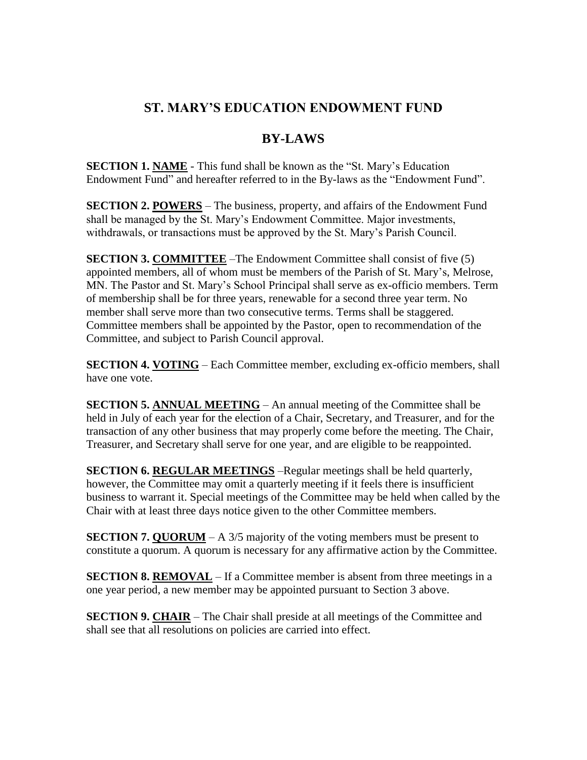## **ST. MARY'S EDUCATION ENDOWMENT FUND**

## **BY-LAWS**

**SECTION 1. NAME** - This fund shall be known as the "St. Mary's Education Endowment Fund" and hereafter referred to in the By-laws as the "Endowment Fund".

**SECTION 2. POWERS** – The business, property, and affairs of the Endowment Fund shall be managed by the St. Mary's Endowment Committee. Major investments, withdrawals, or transactions must be approved by the St. Mary's Parish Council.

**SECTION 3. COMMITTEE** –The Endowment Committee shall consist of five (5) appointed members, all of whom must be members of the Parish of St. Mary's, Melrose, MN. The Pastor and St. Mary's School Principal shall serve as ex-officio members. Term of membership shall be for three years, renewable for a second three year term. No member shall serve more than two consecutive terms. Terms shall be staggered. Committee members shall be appointed by the Pastor, open to recommendation of the Committee, and subject to Parish Council approval.

**SECTION 4. VOTING** – Each Committee member, excluding ex-officio members, shall have one vote.

**SECTION 5. ANNUAL MEETING** – An annual meeting of the Committee shall be held in July of each year for the election of a Chair, Secretary, and Treasurer, and for the transaction of any other business that may properly come before the meeting. The Chair, Treasurer, and Secretary shall serve for one year, and are eligible to be reappointed.

**SECTION 6. REGULAR MEETINGS** –Regular meetings shall be held quarterly, however, the Committee may omit a quarterly meeting if it feels there is insufficient business to warrant it. Special meetings of the Committee may be held when called by the Chair with at least three days notice given to the other Committee members.

**SECTION 7. QUORUM** – A 3/5 majority of the voting members must be present to constitute a quorum. A quorum is necessary for any affirmative action by the Committee.

**SECTION 8. REMOVAL** – If a Committee member is absent from three meetings in a one year period, a new member may be appointed pursuant to Section 3 above.

**SECTION 9. CHAIR** – The Chair shall preside at all meetings of the Committee and shall see that all resolutions on policies are carried into effect.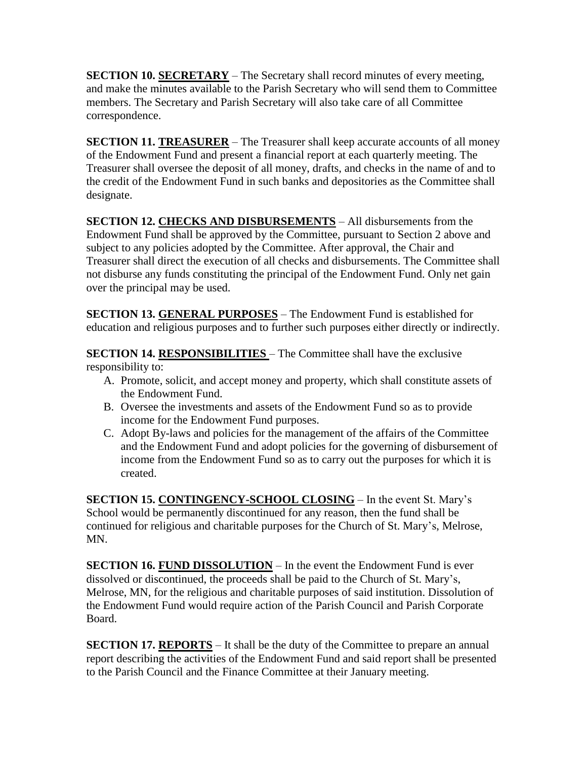**SECTION 10. SECRETARY** – The Secretary shall record minutes of every meeting, and make the minutes available to the Parish Secretary who will send them to Committee members. The Secretary and Parish Secretary will also take care of all Committee correspondence.

**SECTION 11. TREASURER** – The Treasurer shall keep accurate accounts of all money of the Endowment Fund and present a financial report at each quarterly meeting. The Treasurer shall oversee the deposit of all money, drafts, and checks in the name of and to the credit of the Endowment Fund in such banks and depositories as the Committee shall designate.

**SECTION 12. CHECKS AND DISBURSEMENTS** – All disbursements from the Endowment Fund shall be approved by the Committee, pursuant to Section 2 above and subject to any policies adopted by the Committee. After approval, the Chair and Treasurer shall direct the execution of all checks and disbursements. The Committee shall not disburse any funds constituting the principal of the Endowment Fund. Only net gain over the principal may be used.

**SECTION 13. GENERAL PURPOSES** – The Endowment Fund is established for education and religious purposes and to further such purposes either directly or indirectly.

**SECTION 14. RESPONSIBILITIES** – The Committee shall have the exclusive responsibility to:

- A. Promote, solicit, and accept money and property, which shall constitute assets of the Endowment Fund.
- B. Oversee the investments and assets of the Endowment Fund so as to provide income for the Endowment Fund purposes.
- C. Adopt By-laws and policies for the management of the affairs of the Committee and the Endowment Fund and adopt policies for the governing of disbursement of income from the Endowment Fund so as to carry out the purposes for which it is created.

**SECTION 15. CONTINGENCY-SCHOOL CLOSING** – In the event St. Mary's School would be permanently discontinued for any reason, then the fund shall be continued for religious and charitable purposes for the Church of St. Mary's, Melrose, MN.

**SECTION 16. FUND DISSOLUTION** – In the event the Endowment Fund is ever dissolved or discontinued, the proceeds shall be paid to the Church of St. Mary's, Melrose, MN, for the religious and charitable purposes of said institution. Dissolution of the Endowment Fund would require action of the Parish Council and Parish Corporate Board.

**SECTION 17. REPORTS** – It shall be the duty of the Committee to prepare an annual report describing the activities of the Endowment Fund and said report shall be presented to the Parish Council and the Finance Committee at their January meeting.